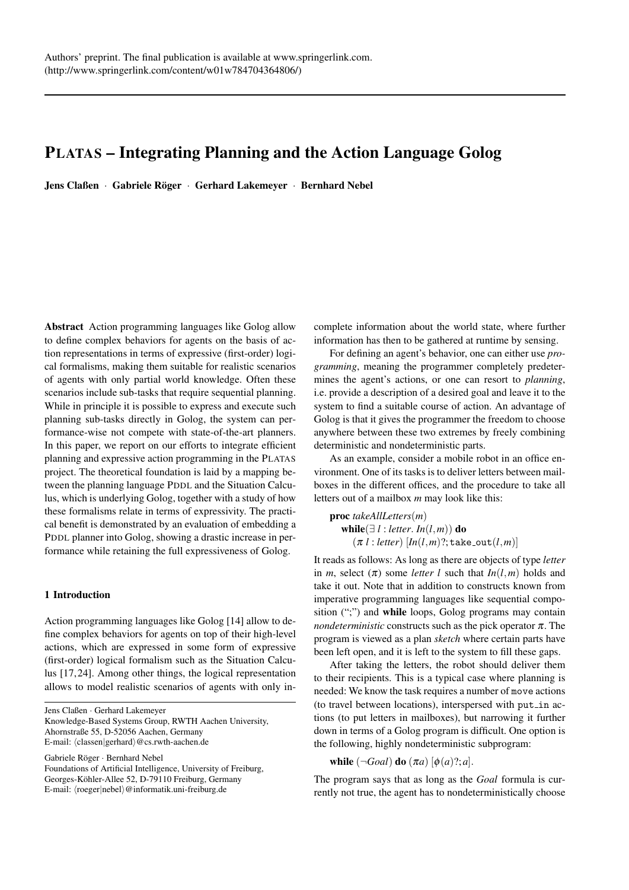# PLATAS – Integrating Planning and the Action Language Golog

Jens Claßen · Gabriele Röger · Gerhard Lakemeyer · Bernhard Nebel

Abstract Action programming languages like Golog allow to define complex behaviors for agents on the basis of action representations in terms of expressive (first-order) logical formalisms, making them suitable for realistic scenarios of agents with only partial world knowledge. Often these scenarios include sub-tasks that require sequential planning. While in principle it is possible to express and execute such planning sub-tasks directly in Golog, the system can performance-wise not compete with state-of-the-art planners. In this paper, we report on our efforts to integrate efficient planning and expressive action programming in the PLATAS project. The theoretical foundation is laid by a mapping between the planning language PDDL and the Situation Calculus, which is underlying Golog, together with a study of how these formalisms relate in terms of expressivity. The practical benefit is demonstrated by an evaluation of embedding a PDDL planner into Golog, showing a drastic increase in performance while retaining the full expressiveness of Golog.

# 1 Introduction

Action programming languages like Golog [14] allow to define complex behaviors for agents on top of their high-level actions, which are expressed in some form of expressive (first-order) logical formalism such as the Situation Calculus [17, 24]. Among other things, the logical representation allows to model realistic scenarios of agents with only in-

Jens Claßen · Gerhard Lakemeyer Knowledge-Based Systems Group, RWTH Aachen University, Ahornstraße 55, D-52056 Aachen, Germany

E-mail:  $\langle classen|gerhard \rangle@cs.rwth-aachen.de$ 

Gabriele Röger · Bernhard Nebel Foundations of Artificial Intelligence, University of Freiburg, Georges-Köhler-Allee 52, D-79110 Freiburg, Germany E-mail:  $\langle roeger|nebel \rangle @informatik.uni-freiburg.de$ 

complete information about the world state, where further information has then to be gathered at runtime by sensing.

For defining an agent's behavior, one can either use *programming*, meaning the programmer completely predetermines the agent's actions, or one can resort to *planning*, i.e. provide a description of a desired goal and leave it to the system to find a suitable course of action. An advantage of Golog is that it gives the programmer the freedom to choose anywhere between these two extremes by freely combining deterministic and nondeterministic parts.

As an example, consider a mobile robot in an office environment. One of its tasks is to deliver letters between mailboxes in the different offices, and the procedure to take all letters out of a mailbox *m* may look like this:

proc *takeAllLetters*(*m*) while( $\exists l : letter. In(l,m)$ ) do  $(\pi l : letter)$   $[In(l,m)$ ?; take\_out $(l,m)$ ]

It reads as follows: As long as there are objects of type *letter* in *m*, select  $(\pi)$  some *letter l* such that  $In(l,m)$  holds and take it out. Note that in addition to constructs known from imperative programming languages like sequential composition (";") and while loops, Golog programs may contain *nondeterministic* constructs such as the pick operator  $\pi$ . The program is viewed as a plan *sketch* where certain parts have been left open, and it is left to the system to fill these gaps.

After taking the letters, the robot should deliver them to their recipients. This is a typical case where planning is needed: We know the task requires a number of move actions (to travel between locations), interspersed with put  $_in$  actions (to put letters in mailboxes), but narrowing it further down in terms of a Golog program is difficult. One option is the following, highly nondeterministic subprogram:

while  $(\neg Goal)$  do  $(\pi a)$   $[\phi(a)?; a]$ .

The program says that as long as the *Goal* formula is currently not true, the agent has to nondeterministically choose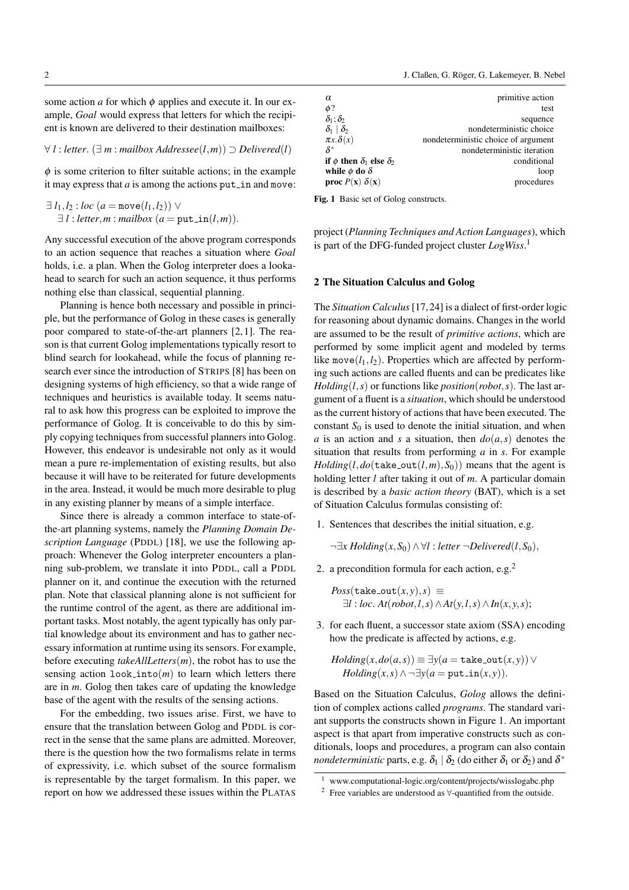some action  $a$  for which  $\phi$  applies and execute it. In our example, *Goal* would express that letters for which the recipient is known are delivered to their destination mailboxes:

#### ∀ *l* : *letter*. (∃ *m* : *mailbox Addressee*(*l*,*m*)) ⊃ *Delivered*(*l*)

 $\phi$  is some criterion to filter suitable actions; in the example it may express that  $a$  is among the actions put in and move:

 $\exists l_1, l_2 : loc(a = move(l_1, l_2)) \vee$  $\exists l : letter, m : mailbox (a = put_in(l,m)).$ 

Any successful execution of the above program corresponds to an action sequence that reaches a situation where *Goal* holds, *i.e.* a plan. When the Golog interpreter does a lookahead to search for such an action sequence, it thus performs nothing else than classical, sequential planning.

Planning is hence both necessary and possible in principle, but the performance of Golog in these cases is generally poor compared to state-of-the-art planners [2, 1]. The reason is that current Golog implementations typically resort to blind search for lookahead, while the focus of planning research ever since the introduction of STRIPS [8] has been on designing systems of high efficiency, so that a wide range of techniques and heuristics is available today. It seems natural to ask how this progress can be exploited to improve the performance of Golog. It is conceivable to do this by simply copying techniques from successful planners into Golog. However, this endeavor is undesirable not only as it would mean a pure re-implementation of existing results, but also because it will have to be reiterated for future developments in the area. Instead, it would be much more desirable to plug in any existing planner by means of a simple interface.

Since there is already a common interface to state-ofthe-art planning systems, namely the *Planning Domain Description Language* (PDDL) [18], we use the following approach: Whenever the Golog interpreter encounters a planning sub-problem, we translate it into PDDL, call a PDDL planner on it, and continue the execution with the returned plan. Note that classical planning alone is not sufficient for the runtime control of the agent, as there are additional important tasks. Most notably, the agent typically has only partial knowledge about its environment and has to gather necessary information at runtime using its sensors. For example, before executing *takeAllLetters*(*m*), the robot has to use the sensing action  $look\_into(m)$  to learn which letters there are in *m*. Golog then takes care of updating the knowledge base of the agent with the results of the sensing actions.

For the embedding, two issues arise. First, we have to ensure that the translation between Golog and PDDL is correct in the sense that the same plans are admitted. Moreover, there is the question how the two formalisms relate in terms of expressivity, i.e. which subset of the source formalism is representable by the target formalism. In this paper, we report on how we addressed these issues within the PLATAS

| α                                         | primitive action                    |
|-------------------------------------------|-------------------------------------|
| $\phi$ ?                                  | test                                |
| $\delta_1$ : $\delta_2$                   | sequence                            |
| $\delta_1 \mid \delta_2$                  | nondeterministic choice             |
| $\pi x.\delta(x)$                         | nondeterministic choice of argument |
| $\delta^*$                                | nondeterministic iteration          |
| if $\phi$ then $\delta_1$ else $\delta_2$ | conditional                         |
| while $\phi$ do $\delta$                  | loop                                |
| <b>proc</b> $P(x)$ $\delta(x)$            | procedures                          |

Fig. 1 Basic set of Golog constructs.

project (*Planning Techniques and Action Languages*), which is part of the DFG-funded project cluster *LogWiss*. 1

## 2 The Situation Calculus and Golog

The *Situation Calculus*[17, 24] is a dialect of first-order logic for reasoning about dynamic domains. Changes in the world are assumed to be the result of *primitive actions*, which are performed by some implicit agent and modeled by terms like move $(l_1, l_2)$ . Properties which are affected by performing such actions are called fluents and can be predicates like *Holding*( $l, s$ ) or functions like *position*(*robot,s*). The last argument of a fluent is a *situation*, which should be understood as the current history of actions that have been executed. The constant  $S_0$  is used to denote the initial situation, and when *a* is an action and *s* a situation, then  $do(a, s)$  denotes the situation that results from performing *a* in *s*. For example *Holding*( $l$ , $do$ ( $\text{take\_out}(l, m)$ , $S_0$ )) means that the agent is holding letter *l* after taking it out of *m*. A particular domain is described by a *basic action theory* (BAT), which is a set of Situation Calculus formulas consisting of:

1. Sentences that describes the initial situation, e.g.

¬∃*x Holding*(*x*,*S*0)∧ ∀*l* : *letter* ¬*Delivered*(*l*,*S*0),

2. a precondition formula for each action, e.g.<sup>2</sup>

 $Poss(\text{take\_out}(x, y), s) \equiv$  $\exists l : loc. At(robot, l, s) \land At(y, l, s) \land In(x, y, s);$ 

3. for each fluent, a successor state axiom (SSA) encoding how the predicate is affected by actions, e.g.

*Holding*
$$
(x, do(a, s)) \equiv \exists y (a = \texttt{take.out}(x, y)) \vee
$$
  
*Holding* $(x, s) \wedge \neg \exists y (a = \texttt{put.in}(x, y)).$ 

Based on the Situation Calculus, *Golog* allows the definition of complex actions called *programs*. The standard variant supports the constructs shown in Figure 1. An important aspect is that apart from imperative constructs such as conditionals, loops and procedures, a program can also contain *nondeterministic* parts, e.g.  $\delta_1 \mid \delta_2$  (do either  $\delta_1$  or  $\delta_2$ ) and  $\delta^*$ 

<sup>1</sup> www.computational-logic.org/content/projects/wisslogabc.php

<sup>2</sup> Free variables are understood as ∀-quantified from the outside.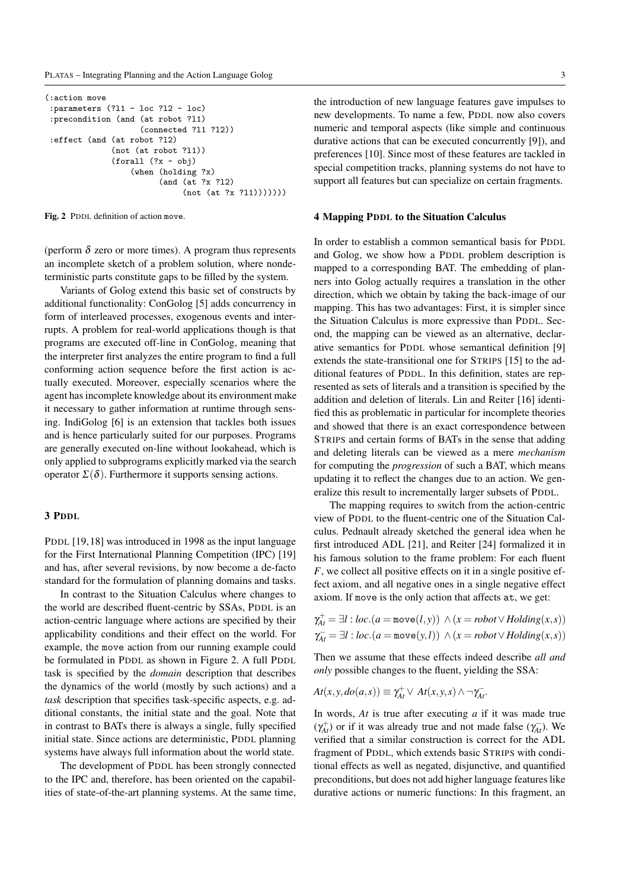```
(:action move
 :parameters (?l1 - loc ?l2 - loc)
:precondition (and (at robot ?l1)
                    (connected ?l1 ?l2))
 :effect (and (at robot ?l2)
              (not (at robot ?l1))
              (forall (?x - obj)
                  (when (holding ?x)
                        (and (at ?x ?l2)
                             (not (at ?x ?11))))))
```
Fig. 2 PDDL definition of action move.

(perform  $\delta$  zero or more times). A program thus represents an incomplete sketch of a problem solution, where nondeterministic parts constitute gaps to be filled by the system.

Variants of Golog extend this basic set of constructs by additional functionality: ConGolog [5] adds concurrency in form of interleaved processes, exogenous events and interrupts. A problem for real-world applications though is that programs are executed off-line in ConGolog, meaning that the interpreter first analyzes the entire program to find a full conforming action sequence before the first action is actually executed. Moreover, especially scenarios where the agent has incomplete knowledge about its environment make it necessary to gather information at runtime through sensing. IndiGolog [6] is an extension that tackles both issues and is hence particularly suited for our purposes. Programs are generally executed on-line without lookahead, which is only applied to subprograms explicitly marked via the search operator  $\Sigma(\delta)$ . Furthermore it supports sensing actions.

## 3 PDDL

PDDL [19, 18] was introduced in 1998 as the input language for the First International Planning Competition (IPC) [19] and has, after several revisions, by now become a de-facto standard for the formulation of planning domains and tasks.

In contrast to the Situation Calculus where changes to the world are described fluent-centric by SSAs, PDDL is an action-centric language where actions are specified by their applicability conditions and their effect on the world. For example, the move action from our running example could be formulated in PDDL as shown in Figure 2. A full PDDL task is specified by the *domain* description that describes the dynamics of the world (mostly by such actions) and a *task* description that specifies task-specific aspects, e.g. additional constants, the initial state and the goal. Note that in contrast to BATs there is always a single, fully specified initial state. Since actions are deterministic, PDDL planning systems have always full information about the world state.

The development of PDDL has been strongly connected to the IPC and, therefore, has been oriented on the capabilities of state-of-the-art planning systems. At the same time, the introduction of new language features gave impulses to new developments. To name a few, PDDL now also covers numeric and temporal aspects (like simple and continuous durative actions that can be executed concurrently [9]), and preferences [10]. Since most of these features are tackled in special competition tracks, planning systems do not have to support all features but can specialize on certain fragments.

#### 4 Mapping PDDL to the Situation Calculus

In order to establish a common semantical basis for PDDL and Golog, we show how a PDDL problem description is mapped to a corresponding BAT. The embedding of planners into Golog actually requires a translation in the other direction, which we obtain by taking the back-image of our mapping. This has two advantages: First, it is simpler since the Situation Calculus is more expressive than PDDL. Second, the mapping can be viewed as an alternative, declarative semantics for PDDL whose semantical definition [9] extends the state-transitional one for STRIPS [15] to the additional features of PDDL. In this definition, states are represented as sets of literals and a transition is specified by the addition and deletion of literals. Lin and Reiter [16] identified this as problematic in particular for incomplete theories and showed that there is an exact correspondence between STRIPS and certain forms of BATs in the sense that adding and deleting literals can be viewed as a mere *mechanism* for computing the *progression* of such a BAT, which means updating it to reflect the changes due to an action. We generalize this result to incrementally larger subsets of PDDL.

The mapping requires to switch from the action-centric view of PDDL to the fluent-centric one of the Situation Calculus. Pednault already sketched the general idea when he first introduced ADL [21], and Reiter [24] formalized it in his famous solution to the frame problem: For each fluent *F*, we collect all positive effects on it in a single positive effect axiom, and all negative ones in a single negative effect axiom. If move is the only action that affects at, we get:

$$
\gamma_{At}^+ = \exists l : loc.(a = \text{move}(l, y)) \land (x = robot \lor Holding(x, s))
$$
  

$$
\gamma_{At}^- = \exists l : loc.(a = \text{move}(y, l)) \land (x = robot \lor Holding(x, s))
$$

Then we assume that these effects indeed describe *all and only* possible changes to the fluent, yielding the SSA:

$$
At(x, y, do(a, s)) \equiv \gamma_{At}^+ \vee At(x, y, s) \wedge \neg \gamma_{At}^-.
$$

In words, *At* is true after executing *a* if it was made true  $(\gamma_{At}^+)$  or if it was already true and not made false  $(\gamma_{At}^-)$ . We verified that a similar construction is correct for the ADL fragment of PDDL, which extends basic STRIPS with conditional effects as well as negated, disjunctive, and quantified preconditions, but does not add higher language features like durative actions or numeric functions: In this fragment, an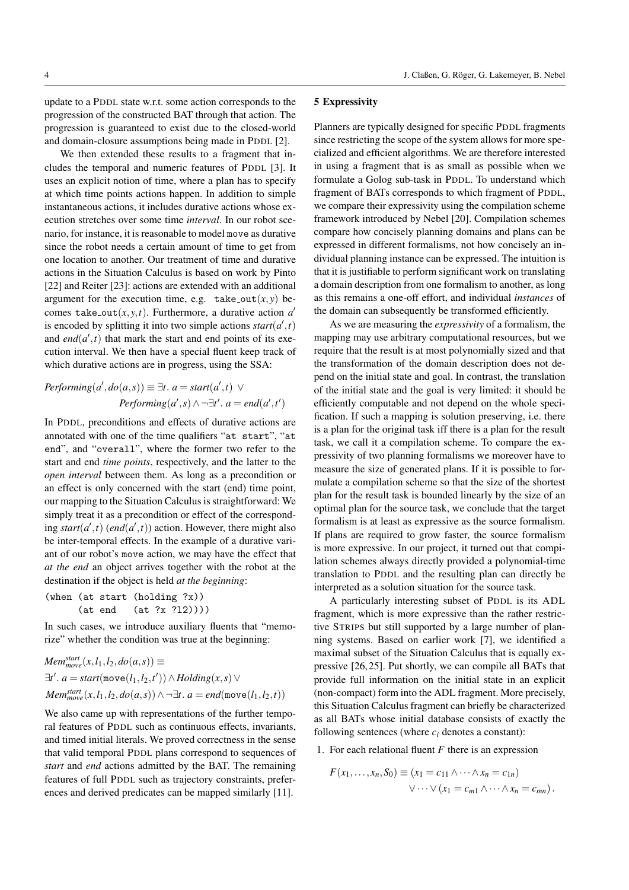update to a PDDL state w.r.t. some action corresponds to the progression of the constructed BAT through that action. The progression is guaranteed to exist due to the closed-world and domain-closure assumptions being made in PDDL [2].

We then extended these results to a fragment that includes the temporal and numeric features of PDDL [3]. It uses an explicit notion of time, where a plan has to specify at which time points actions happen. In addition to simple instantaneous actions, it includes durative actions whose execution stretches over some time *interval*. In our robot scenario, for instance, it is reasonable to model move as durative since the robot needs a certain amount of time to get from one location to another. Our treatment of time and durative actions in the Situation Calculus is based on work by Pinto [22] and Reiter [23]: actions are extended with an additional argument for the execution time, e.g. take\_out $(x, y)$  becomes take\_out $(x, y, t)$ . Furthermore, a durative action  $a'$ is encoded by splitting it into two simple actions  $start(a', t)$ and  $end(a',t)$  that mark the start and end points of its execution interval. We then have a special fluent keep track of which durative actions are in progress, using the SSA:

$$
Performing(a', do(a, s)) \equiv \exists t. a = start(a', t) \lor
$$

$$
Performing(a', s) \land \neg \exists t'. a = end(a', t')
$$

In PDDL, preconditions and effects of durative actions are annotated with one of the time qualifiers "at start", "at end", and "overall", where the former two refer to the start and end *time points*, respectively, and the latter to the *open interval* between them. As long as a precondition or an effect is only concerned with the start (end) time point, our mapping to the Situation Calculus is straightforward: We simply treat it as a precondition or effect of the corresponding  $start(a',t)$  (*end*( $a',t$ )) action. However, there might also be inter-temporal effects. In the example of a durative variant of our robot's move action, we may have the effect that *at the end* an object arrives together with the robot at the destination if the object is held *at the beginning*:

```
(when (at start (holding ?x))
     (at end (at ?x ?l2))))
```
In such cases, we introduce auxiliary fluents that "memorize" whether the condition was true at the beginning:

$$
Mem_{move}^{start}(x, l_1, l_2, do(a, s)) \equiv
$$
  
\n
$$
\exists t'. a = start(\text{move}(l_1, l_2, t')) \land Holding(x, s) \lor
$$
  
\n
$$
Mem_{move}^{start}(x, l_1, l_2, do(a, s)) \land \neg \exists t. a = end(\text{move}(l_1, l_2, t))
$$

We also came up with representations of the further temporal features of PDDL such as continuous effects, invariants, and timed initial literals. We proved correctness in the sense that valid temporal PDDL plans correspond to sequences of *start* and *end* actions admitted by the BAT. The remaining features of full PDDL such as trajectory constraints, preferences and derived predicates can be mapped similarly [11].

#### 5 Expressivity

Planners are typically designed for specific PDDL fragments since restricting the scope of the system allows for more specialized and efficient algorithms. We are therefore interested in using a fragment that is as small as possible when we formulate a Golog sub-task in PDDL. To understand which fragment of BATs corresponds to which fragment of PDDL, we compare their expressivity using the compilation scheme framework introduced by Nebel [20]. Compilation schemes compare how concisely planning domains and plans can be expressed in different formalisms, not how concisely an individual planning instance can be expressed. The intuition is that it is justifiable to perform significant work on translating a domain description from one formalism to another, as long as this remains a one-off effort, and individual *instances* of the domain can subsequently be transformed efficiently.

As we are measuring the *expressivity* of a formalism, the mapping may use arbitrary computational resources, but we require that the result is at most polynomially sized and that the transformation of the domain description does not depend on the initial state and goal. In contrast, the translation of the initial state and the goal is very limited: it should be efficiently computable and not depend on the whole specification. If such a mapping is solution preserving, i.e. there is a plan for the original task iff there is a plan for the result task, we call it a compilation scheme. To compare the expressivity of two planning formalisms we moreover have to measure the size of generated plans. If it is possible to formulate a compilation scheme so that the size of the shortest plan for the result task is bounded linearly by the size of an optimal plan for the source task, we conclude that the target formalism is at least as expressive as the source formalism. If plans are required to grow faster, the source formalism is more expressive. In our project, it turned out that compilation schemes always directly provided a polynomial-time translation to PDDL and the resulting plan can directly be interpreted as a solution situation for the source task.

A particularly interesting subset of PDDL is its ADL fragment, which is more expressive than the rather restrictive STRIPS but still supported by a large number of planning systems. Based on earlier work [7], we identified a maximal subset of the Situation Calculus that is equally expressive [26, 25]. Put shortly, we can compile all BATs that provide full information on the initial state in an explicit (non-compact) form into the ADL fragment. More precisely, this Situation Calculus fragment can briefly be characterized as all BATs whose initial database consists of exactly the following sentences (where  $c_i$  denotes a constant):

#### 1. For each relational fluent *F* there is an expression

$$
F(x_1,...,x_n,S_0) \equiv (x_1 = c_{11} \wedge \cdots \wedge x_n = c_{1n})
$$
  
 
$$
\vee \cdots \vee (x_1 = c_{m1} \wedge \cdots \wedge x_n = c_{mn}).
$$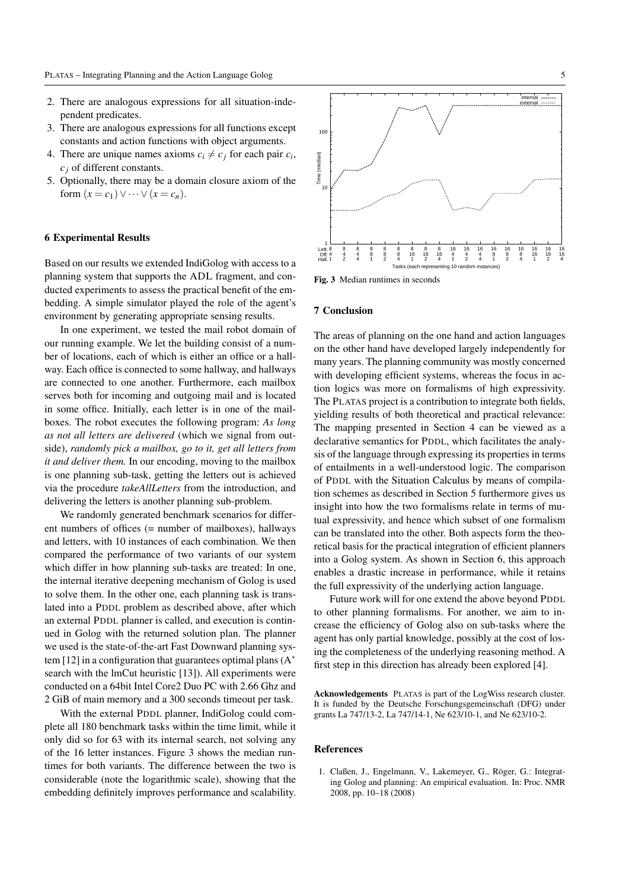- 2. There are analogous expressions for all situation-independent predicates.
- 3. There are analogous expressions for all functions except constants and action functions with object arguments.
- 4. There are unique names axioms  $c_i \neq c_j$  for each pair  $c_i$ , *c<sup>j</sup>* of different constants.
- 5. Optionally, there may be a domain closure axiom of the form  $(x = c_1) \vee \cdots \vee (x = c_n)$ .

#### 6 Experimental Results

Based on our results we extended IndiGolog with access to a planning system that supports the ADL fragment, and conducted experiments to assess the practical benefit of the embedding. A simple simulator played the role of the agent's environment by generating appropriate sensing results.

In one experiment, we tested the mail robot domain of our running example. We let the building consist of a number of locations, each of which is either an office or a hallway. Each office is connected to some hallway, and hallways are connected to one another. Furthermore, each mailbox serves both for incoming and outgoing mail and is located in some office. Initially, each letter is in one of the mailboxes. The robot executes the following program: *As long as not all letters are delivered* (which we signal from outside), *randomly pick a mailbox, go to it, get all letters from it and deliver them.* In our encoding, moving to the mailbox is one planning sub-task, getting the letters out is achieved via the procedure *takeAllLetters* from the introduction, and delivering the letters is another planning sub-problem.

We randomly generated benchmark scenarios for different numbers of offices (= number of mailboxes), hallways and letters, with 10 instances of each combination. We then compared the performance of two variants of our system which differ in how planning sub-tasks are treated: In one, the internal iterative deepening mechanism of Golog is used to solve them. In the other one, each planning task is translated into a PDDL problem as described above, after which an external PDDL planner is called, and execution is continued in Golog with the returned solution plan. The planner we used is the state-of-the-art Fast Downward planning system [12] in a configuration that guarantees optimal plans  $(A^*)$ search with the lmCut heuristic [13]). All experiments were conducted on a 64bit Intel Core2 Duo PC with 2.66 Ghz and 2 GiB of main memory and a 300 seconds timeout per task.

With the external PDDL planner, IndiGolog could complete all 180 benchmark tasks within the time limit, while it only did so for 63 with its internal search, not solving any of the 16 letter instances. Figure 3 shows the median runtimes for both variants. The difference between the two is considerable (note the logarithmic scale), showing that the embedding definitely improves performance and scalability.



Fig. 3 Median runtimes in seconds

#### 7 Conclusion

The areas of planning on the one hand and action languages on the other hand have developed largely independently for many years. The planning community was mostly concerned with developing efficient systems, whereas the focus in action logics was more on formalisms of high expressivity. The PLATAS project is a contribution to integrate both fields, yielding results of both theoretical and practical relevance: The mapping presented in Section 4 can be viewed as a declarative semantics for PDDL, which facilitates the analysis of the language through expressing its properties in terms of entailments in a well-understood logic. The comparison of PDDL with the Situation Calculus by means of compilation schemes as described in Section 5 furthermore gives us insight into how the two formalisms relate in terms of mutual expressivity, and hence which subset of one formalism can be translated into the other. Both aspects form the theoretical basis for the practical integration of efficient planners into a Golog system. As shown in Section 6, this approach enables a drastic increase in performance, while it retains the full expressivity of the underlying action language.

Future work will for one extend the above beyond PDDL to other planning formalisms. For another, we aim to increase the efficiency of Golog also on sub-tasks where the agent has only partial knowledge, possibly at the cost of losing the completeness of the underlying reasoning method. A first step in this direction has already been explored [4].

Acknowledgements PLATAS is part of the LogWiss research cluster. It is funded by the Deutsche Forschungsgemeinschaft (DFG) under grants La 747/13-2, La 747/14-1, Ne 623/10-1, and Ne 623/10-2.

#### References

1. Claßen, J., Engelmann, V., Lakemeyer, G., Röger, G.: Integrating Golog and planning: An empirical evaluation. In: Proc. NMR 2008, pp. 10–18 (2008)